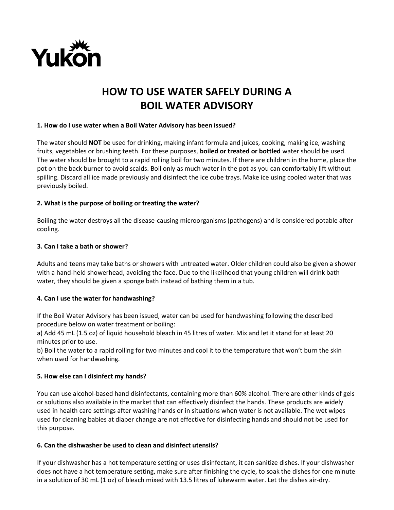

# **HOW TO USE WATER SAFELY DURING A BOIL WATER ADVISORY**

#### **1. How do I use water when a Boil Water Advisory has been issued?**

The water should **NOT** be used for drinking, making infant formula and juices, cooking, making ice, washing fruits, vegetables or brushing teeth. For these purposes, **boiled or treated or bottled** water should be used. The water should be brought to a rapid rolling boil for two minutes. If there are children in the home, place the pot on the back burner to avoid scalds. Boil only as much water in the pot as you can comfortably lift without spilling. Discard all ice made previously and disinfect the ice cube trays. Make ice using cooled water that was previously boiled.

#### **2. What is the purpose of boiling or treating the water?**

Boiling the water destroys all the disease-causing microorganisms (pathogens) and is considered potable after cooling.

#### **3. Can I take a bath or shower?**

Adults and teens may take baths or showers with untreated water. Older children could also be given a shower with a hand-held showerhead, avoiding the face. Due to the likelihood that young children will drink bath water, they should be given a sponge bath instead of bathing them in a tub.

#### **4. Can I use the water for handwashing?**

If the Boil Water Advisory has been issued, water can be used for handwashing following the described procedure below on water treatment or boiling:

a) Add 45 mL (1.5 oz) of liquid household bleach in 45 litres of water. Mix and let it stand for at least 20 minutes prior to use.

b) Boil the water to a rapid rolling for two minutes and cool it to the temperature that won't burn the skin when used for handwashing.

#### **5. How else can I disinfect my hands?**

You can use alcohol-based hand disinfectants, containing more than 60% alcohol. There are other kinds of gels or solutions also available in the market that can effectively disinfect the hands. These products are widely used in health care settings after washing hands or in situations when water is not available. The wet wipes used for cleaning babies at diaper change are not effective for disinfecting hands and should not be used for this purpose.

#### **6. Can the dishwasher be used to clean and disinfect utensils?**

If your dishwasher has a hot temperature setting or uses disinfectant, it can sanitize dishes. If your dishwasher does not have a hot temperature setting, make sure after finishing the cycle, to soak the dishes for one minute in a solution of 30 mL (1 oz) of bleach mixed with 13.5 litres of lukewarm water. Let the dishes air-dry.